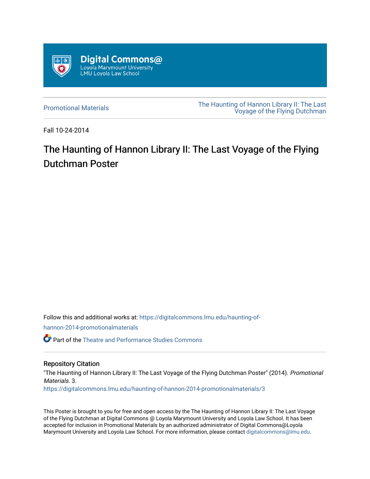

[Promotional Materials](https://digitalcommons.lmu.edu/haunting-of-hannon-2014-promotionalmaterials) [The Haunting of Hannon Library II: The Last](https://digitalcommons.lmu.edu/haunting-of-hannon-2014)  [Voyage of the Flying Dutchman](https://digitalcommons.lmu.edu/haunting-of-hannon-2014) 

Fall 10-24-2014

## The Haunting of Hannon Library II: The Last Voyage of the Flying Dutchman Poster

Follow this and additional works at: [https://digitalcommons.lmu.edu/haunting-of-](https://digitalcommons.lmu.edu/haunting-of-hannon-2014-promotionalmaterials?utm_source=digitalcommons.lmu.edu%2Fhaunting-of-hannon-2014-promotionalmaterials%2F3&utm_medium=PDF&utm_campaign=PDFCoverPages)

[hannon-2014-promotionalmaterials](https://digitalcommons.lmu.edu/haunting-of-hannon-2014-promotionalmaterials?utm_source=digitalcommons.lmu.edu%2Fhaunting-of-hannon-2014-promotionalmaterials%2F3&utm_medium=PDF&utm_campaign=PDFCoverPages) 

Part of the [Theatre and Performance Studies Commons](http://network.bepress.com/hgg/discipline/552?utm_source=digitalcommons.lmu.edu%2Fhaunting-of-hannon-2014-promotionalmaterials%2F3&utm_medium=PDF&utm_campaign=PDFCoverPages) 

## Repository Citation

"The Haunting of Hannon Library II: The Last Voyage of the Flying Dutchman Poster" (2014). Promotional Materials. 3.

[https://digitalcommons.lmu.edu/haunting-of-hannon-2014-promotionalmaterials/3](https://digitalcommons.lmu.edu/haunting-of-hannon-2014-promotionalmaterials/3?utm_source=digitalcommons.lmu.edu%2Fhaunting-of-hannon-2014-promotionalmaterials%2F3&utm_medium=PDF&utm_campaign=PDFCoverPages) 

This Poster is brought to you for free and open access by the The Haunting of Hannon Library II: The Last Voyage of the Flying Dutchman at Digital Commons @ Loyola Marymount University and Loyola Law School. It has been accepted for inclusion in Promotional Materials by an authorized administrator of Digital Commons@Loyola Marymount University and Loyola Law School. For more information, please contact [digitalcommons@lmu.edu](mailto:digitalcommons@lmu.edu).